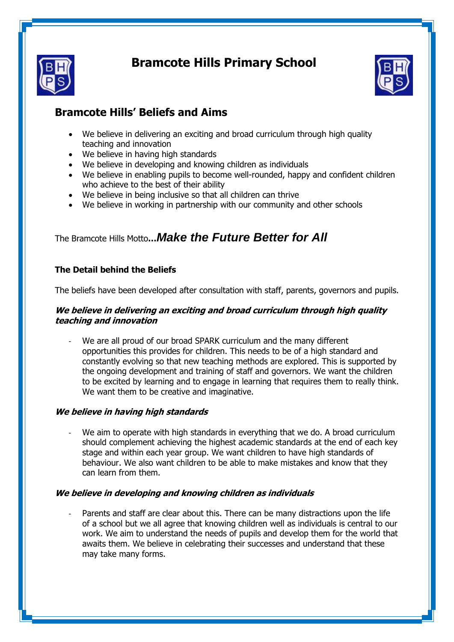

# **Bramcote Hills Primary School**



# **Bramcote Hills' Beliefs and Aims**

- We believe in delivering an exciting and broad curriculum through high quality teaching and innovation
- We believe in having high standards
- We believe in developing and knowing children as individuals
- We believe in enabling pupils to become well-rounded, happy and confident children who achieve to the best of their ability
- We believe in being inclusive so that all children can thrive
- We believe in working in partnership with our community and other schools

The Bramcote Hills Motto**…***Make the Future Better for All*

# **The Detail behind the Beliefs**

The beliefs have been developed after consultation with staff, parents, governors and pupils.

#### **We believe in delivering an exciting and broad curriculum through high quality teaching and innovation**

We are all proud of our broad SPARK curriculum and the many different opportunities this provides for children. This needs to be of a high standard and constantly evolving so that new teaching methods are explored. This is supported by the ongoing development and training of staff and governors. We want the children to be excited by learning and to engage in learning that requires them to really think. We want them to be creative and imaginative.

## **We believe in having high standards**

We aim to operate with high standards in everything that we do. A broad curriculum should complement achieving the highest academic standards at the end of each key stage and within each year group. We want children to have high standards of behaviour. We also want children to be able to make mistakes and know that they can learn from them.

## **We believe in developing and knowing children as individuals**

Parents and staff are clear about this. There can be many distractions upon the life of a school but we all agree that knowing children well as individuals is central to our work. We aim to understand the needs of pupils and develop them for the world that awaits them. We believe in celebrating their successes and understand that these may take many forms.